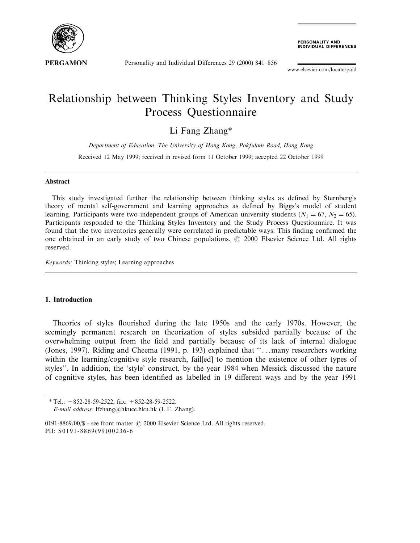

**PERSONALITY AND<br>INDIVIDUAL DIFFERENCES** 

Personality and Individual Differences 29 (2000) 841-856

www.elsevier.com/locate/paid

# Relationship between Thinking Styles Inventory and Study Process Questionnaire

### Li Fang Zhang\*

Department of Education, The University of Hong Kong, Pokfulam Road, Hong Kong Received 12 May 1999; received in revised form 11 October 1999; accepted 22 October 1999

#### Abstract

This study investigated further the relationship between thinking styles as defined by Sternberg's theory of mental self-government and learning approaches as defined by Biggs's model of student learning. Participants were two independent groups of American university students  $(N_1 = 67, N_2 = 65)$ . Participants responded to the Thinking Styles Inventory and the Study Process Questionnaire. It was found that the two inventories generally were correlated in predictable ways. This finding confirmed the one obtained in an early study of two Chinese populations.  $\odot$  2000 Elsevier Science Ltd. All rights reserved.

Keywords: Thinking styles; Learning approaches

#### 1. Introduction

Theories of styles flourished during the late 1950s and the early 1970s. However, the seemingly permanent research on theorization of styles subsided partially because of the overwhelming output from the field and partially because of its lack of internal dialogue (Jones, 1997). Riding and Cheema (1991, p. 193) explained that "...many researchers working within the learning/cognitive style research, fail[ed] to mention the existence of other types of styles''. In addition, the `style' construct, by the year 1984 when Messick discussed the nature of cognitive styles, has been identified as labelled in 19 different ways and by the year 1991

 $*$  Tel.:  $+852-28-59-2522$ ; fax:  $+852-28-59-2522$ .

E-mail address: lfzhang@hkucc.hku.hk (L.F. Zhang).

<sup>0191-8869/00/\$ -</sup> see front matter  $\odot$  2000 Elsevier Science Ltd. All rights reserved. PII: S0191-8869(99)00236-6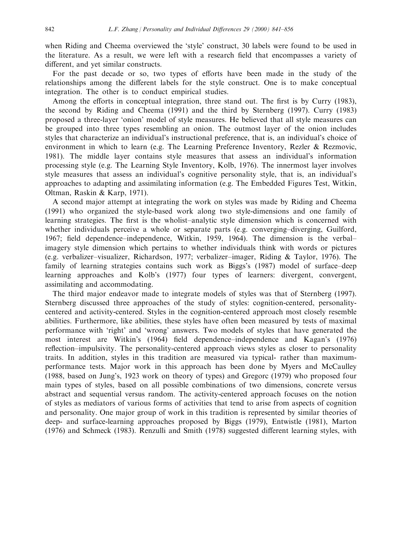when Riding and Cheema overviewed the 'style' construct, 30 labels were found to be used in the literature. As a result, we were left with a research field that encompasses a variety of different, and yet similar constructs.

For the past decade or so, two types of efforts have been made in the study of the relationships among the different labels for the style construct. One is to make conceptual integration. The other is to conduct empirical studies.

Among the efforts in conceptual integration, three stand out. The first is by Curry (1983), the second by Riding and Cheema (1991) and the third by Sternberg (1997). Curry (1983) proposed a three-layer `onion' model of style measures. He believed that all style measures can be grouped into three types resembling an onion. The outmost layer of the onion includes styles that characterize an individual's instructional preference, that is, an individual's choice of environment in which to learn (e.g. The Learning Preference Inventory, Rezler & Rezmovic, 1981). The middle layer contains style measures that assess an individual's information processing style (e.g. The Learning Style Inventory, Kolb, 1976). The innermost layer involves style measures that assess an individual's cognitive personality style, that is, an individual's approaches to adapting and assimilating information (e.g. The Embedded Figures Test, Witkin, Oltman, Raskin & Karp, 1971).

A second major attempt at integrating the work on styles was made by Riding and Cheema (1991) who organized the style-based work along two style-dimensions and one family of learning strategies. The first is the wholist-analytic style dimension which is concerned with whether individuals perceive a whole or separate parts (e.g. converging-diverging, Guilford, 1967; field dependence-independence, Witkin, 1959, 1964). The dimension is the verbalimagery style dimension which pertains to whether individuals think with words or pictures (e.g. verbalizer-visualizer, Richardson, 1977; verbalizer-imager, Riding & Taylor, 1976). The family of learning strategies contains such work as Biggs's (1987) model of surface-deep learning approaches and Kolb's (1977) four types of learners: divergent, convergent, assimilating and accommodating.

The third major endeavor made to integrate models of styles was that of Sternberg (1997). Sternberg discussed three approaches of the study of styles: cognition-centered, personalitycentered and activity-centered. Styles in the cognition-centered approach most closely resemble abilities. Furthermore, like abilities, these styles have often been measured by tests of maximal performance with `right' and `wrong' answers. Two models of styles that have generated the most interest are Witkin's (1964) field dependence-independence and Kagan's (1976) reflection-impulsivity. The personality-centered approach views styles as closer to personality traits. In addition, styles in this tradition are measured via typical- rather than maximumperformance tests. Major work in this approach has been done by Myers and McCaulley (1988, based on Jung's, 1923 work on theory of types) and Gregorc (1979) who proposed four main types of styles, based on all possible combinations of two dimensions, concrete versus abstract and sequential versus random. The activity-centered approach focuses on the notion of styles as mediators of various forms of activities that tend to arise from aspects of cognition and personality. One major group of work in this tradition is represented by similar theories of deep- and surface-learning approaches proposed by Biggs (1979), Entwistle (1981), Marton (1976) and Schmeck (1983). Renzulli and Smith (1978) suggested different learning styles, with